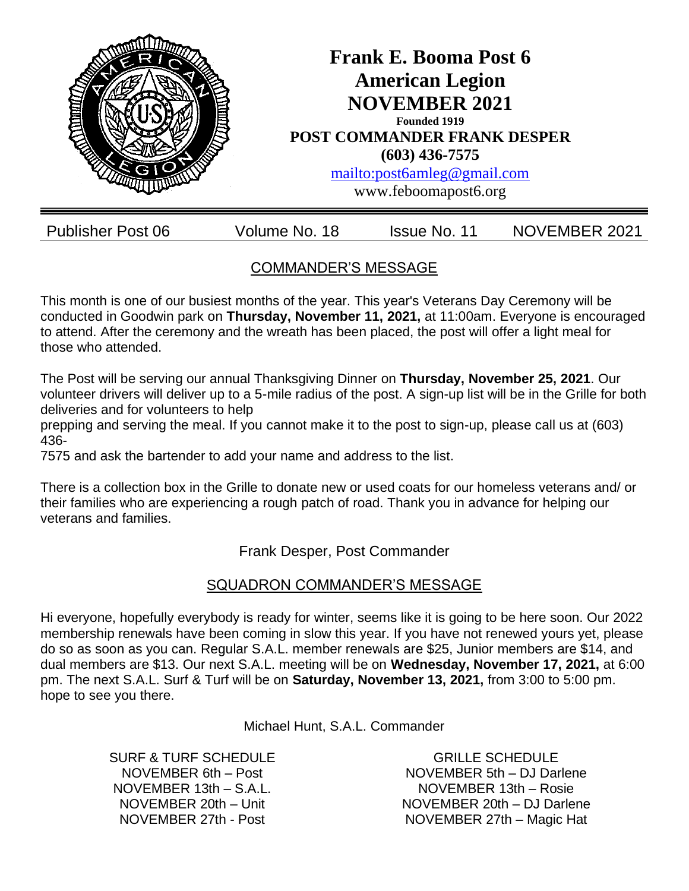

## COMMANDER'S MESSAGE

This month is one of our busiest months of the year. This year's Veterans Day Ceremony will be conducted in Goodwin park on **Thursday, November 11, 2021,** at 11:00am. Everyone is encouraged to attend. After the ceremony and the wreath has been placed, the post will offer a light meal for those who attended.

The Post will be serving our annual Thanksgiving Dinner on **Thursday, November 25, 2021**. Our volunteer drivers will deliver up to a 5-mile radius of the post. A sign-up list will be in the Grille for both deliveries and for volunteers to help

prepping and serving the meal. If you cannot make it to the post to sign-up, please call us at (603) 436-

7575 and ask the bartender to add your name and address to the list.

There is a collection box in the Grille to donate new or used coats for our homeless veterans and/ or their families who are experiencing a rough patch of road. Thank you in advance for helping our veterans and families.

Frank Desper, Post Commander

### SQUADRON COMMANDER'S MESSAGE

Hi everyone, hopefully everybody is ready for winter, seems like it is going to be here soon. Our 2022 membership renewals have been coming in slow this year. If you have not renewed yours yet, please do so as soon as you can. Regular S.A.L. member renewals are \$25, Junior members are \$14, and dual members are \$13. Our next S.A.L. meeting will be on **Wednesday, November 17, 2021,** at 6:00 pm. The next S.A.L. Surf & Turf will be on **Saturday, November 13, 2021,** from 3:00 to 5:00 pm. hope to see you there.

Michael Hunt, S.A.L. Commander

SURF & TURF SCHEDULE NOVEMBER 6th – Post NOVEMBER 13th – S.A.L. NOVEMBER 20th – Unit NOVEMBER 27th - Post

GRILLE SCHEDULE NOVEMBER 5th – DJ Darlene NOVEMBER 13th – Rosie NOVEMBER 20th – DJ Darlene NOVEMBER 27th – Magic Hat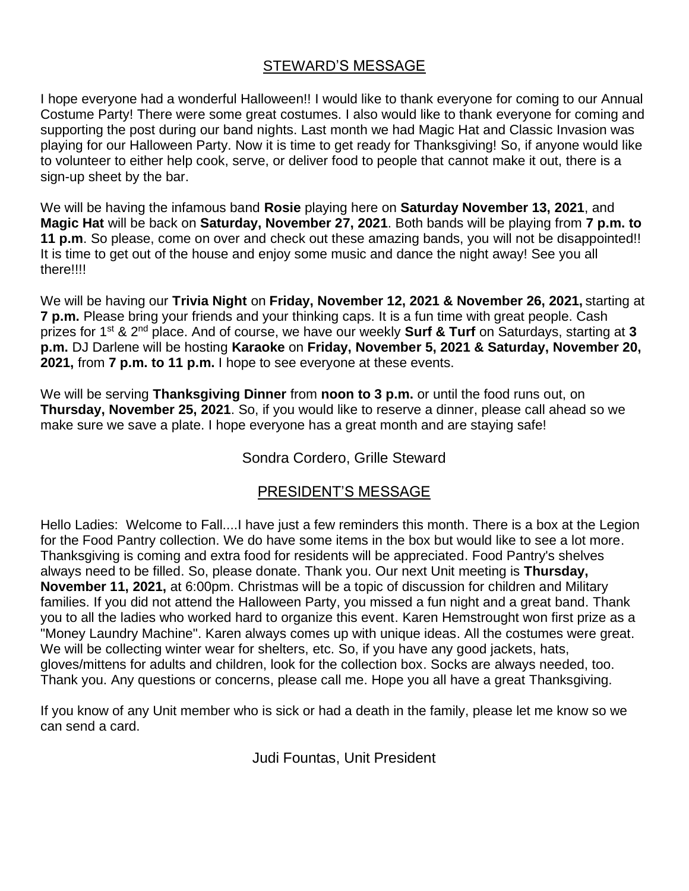### STEWARD'S MESSAGE

I hope everyone had a wonderful Halloween!! I would like to thank everyone for coming to our Annual Costume Party! There were some great costumes. I also would like to thank everyone for coming and supporting the post during our band nights. Last month we had Magic Hat and Classic Invasion was playing for our Halloween Party. Now it is time to get ready for Thanksgiving! So, if anyone would like to volunteer to either help cook, serve, or deliver food to people that cannot make it out, there is a sign-up sheet by the bar.

We will be having the infamous band **Rosie** playing here on **Saturday November 13, 2021**, and **Magic Hat** will be back on **Saturday, November 27, 2021**. Both bands will be playing from **7 p.m. to 11 p.m**. So please, come on over and check out these amazing bands, you will not be disappointed!! It is time to get out of the house and enjoy some music and dance the night away! See you all there!!!!

We will be having our **Trivia Night** on **Friday, November 12, 2021 & November 26, 2021,** starting at **7 p.m.** Please bring your friends and your thinking caps. It is a fun time with great people. Cash prizes for 1st & 2nd place. And of course, we have our weekly **Surf & Turf** on Saturdays, starting at **3 p.m.** DJ Darlene will be hosting **Karaoke** on **Friday, November 5, 2021 & Saturday, November 20, 2021,** from **7 p.m. to 11 p.m.** I hope to see everyone at these events.

We will be serving **Thanksgiving Dinner** from **noon to 3 p.m.** or until the food runs out, on **Thursday, November 25, 2021**. So, if you would like to reserve a dinner, please call ahead so we make sure we save a plate. I hope everyone has a great month and are staying safe!

#### Sondra Cordero, Grille Steward

#### PRESIDENT'S MESSAGE

Hello Ladies: Welcome to Fall....I have just a few reminders this month. There is a box at the Legion for the Food Pantry collection. We do have some items in the box but would like to see a lot more. Thanksgiving is coming and extra food for residents will be appreciated. Food Pantry's shelves always need to be filled. So, please donate. Thank you. Our next Unit meeting is **Thursday, November 11, 2021,** at 6:00pm. Christmas will be a topic of discussion for children and Military families. If you did not attend the Halloween Party, you missed a fun night and a great band. Thank you to all the ladies who worked hard to organize this event. Karen Hemstrought won first prize as a "Money Laundry Machine". Karen always comes up with unique ideas. All the costumes were great. We will be collecting winter wear for shelters, etc. So, if you have any good jackets, hats, gloves/mittens for adults and children, look for the collection box. Socks are always needed, too. Thank you. Any questions or concerns, please call me. Hope you all have a great Thanksgiving.

If you know of any Unit member who is sick or had a death in the family, please let me know so we can send a card.

Judi Fountas, Unit President